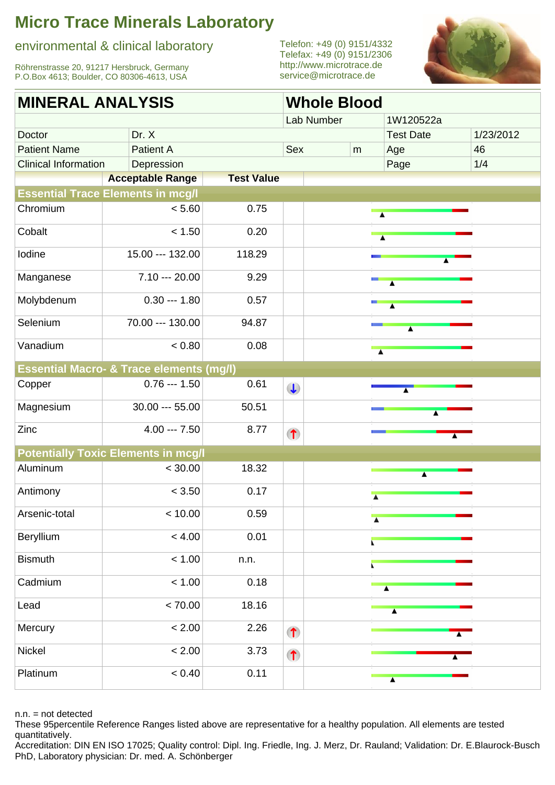environmental & clinical laboratory

Röhrenstrasse 20, 91217 Hersbruck, Germany P.O.Box 4613; Boulder, CO 80306-4613, USA

Telefon: +49 (0) 9151/4332 Telefax: +49 (0) 9151/2306 <http://www.microtrace.de> service@microtrace.de



| <b>MINERAL ANALYSIS</b>     |                                                     |                   |           | <b>Whole Blood</b> |                          |                             |           |  |  |  |
|-----------------------------|-----------------------------------------------------|-------------------|-----------|--------------------|--------------------------|-----------------------------|-----------|--|--|--|
|                             |                                                     |                   |           | Lab Number         |                          | 1W120522a                   |           |  |  |  |
| Doctor                      | Dr. X                                               |                   |           |                    |                          | <b>Test Date</b>            | 1/23/2012 |  |  |  |
| <b>Patient Name</b>         | <b>Patient A</b>                                    |                   | Sex       |                    | ${\sf m}$                | Age                         | 46        |  |  |  |
| <b>Clinical Information</b> |                                                     |                   |           |                    | Page                     | 1/4                         |           |  |  |  |
|                             | <b>Acceptable Range</b>                             | <b>Test Value</b> |           |                    |                          |                             |           |  |  |  |
|                             | <b>Essential Trace Elements in mcg/l</b>            |                   |           |                    |                          |                             |           |  |  |  |
| Chromium                    | < 5.60                                              | 0.75              |           |                    |                          | $\overline{\blacktriangle}$ |           |  |  |  |
| Cobalt                      | < 1.50                                              | 0.20              |           |                    |                          | $\overline{\blacktriangle}$ |           |  |  |  |
| Iodine                      | 15.00 --- 132.00                                    | 118.29            |           |                    |                          |                             |           |  |  |  |
| Manganese                   | $7.10 - 20.00$                                      | 9.29              |           |                    |                          | $\blacktriangle$            |           |  |  |  |
| Molybdenum                  | $0.30 - 1.80$                                       | 0.57              |           |                    |                          | $\blacktriangle$            |           |  |  |  |
| Selenium                    | 70.00 --- 130.00                                    | 94.87             |           |                    |                          | $\overline{\blacktriangle}$ |           |  |  |  |
| Vanadium                    | < 0.80                                              | 0.08              |           |                    |                          | $\overline{\blacktriangle}$ |           |  |  |  |
|                             | <b>Essential Macro- &amp; Trace elements (mg/l)</b> |                   |           |                    |                          |                             |           |  |  |  |
| Copper                      | $0.76 - 1.50$                                       | 0.61              | $\bigcup$ |                    |                          |                             |           |  |  |  |
| Magnesium                   | 30.00 --- 55.00                                     | 50.51             |           |                    |                          |                             |           |  |  |  |
| Zinc                        | $4.00 - 7.50$                                       | 8.77              | $\bullet$ |                    |                          |                             |           |  |  |  |
|                             | <b>Potentially Toxic Elements in mcg/l</b>          |                   |           |                    |                          |                             |           |  |  |  |
| Aluminum                    | < 30.00                                             | 18.32             |           |                    |                          | $\blacktriangle$            |           |  |  |  |
| Antimony                    | < 3.50                                              | 0.17              |           |                    | $\overline{\phantom{a}}$ |                             |           |  |  |  |
| Arsenic-total               | < 10.00                                             | 0.59              |           |                    | $\overline{\phantom{a}}$ |                             |           |  |  |  |
| Beryllium                   | < 4.00                                              | 0.01              |           |                    |                          |                             |           |  |  |  |
| <b>Bismuth</b>              | < 1.00                                              | n.n.              |           |                    |                          |                             |           |  |  |  |
| Cadmium                     | < 1.00                                              | 0.18              |           |                    |                          |                             |           |  |  |  |
| Lead                        | < 70.00                                             | 18.16             |           |                    |                          |                             |           |  |  |  |
| Mercury                     | < 2.00                                              | 2.26              | $\bullet$ |                    |                          |                             |           |  |  |  |
| Nickel                      | < 2.00                                              | 3.73              | $\bullet$ |                    |                          |                             |           |  |  |  |
| Platinum                    | < 0.40                                              | 0.11              |           |                    |                          | $\blacktriangle$            |           |  |  |  |
|                             |                                                     |                   |           |                    |                          |                             |           |  |  |  |

n.n. = not detected

These 95percentile Reference Ranges listed above are representative for a healthy population. All elements are tested quantitatively.

Accreditation: DIN EN ISO 17025; Quality control: Dipl. Ing. Friedle, Ing. J. Merz, Dr. Rauland; Validation: Dr. E.Blaurock-Busch PhD, Laboratory physician: Dr. med. A. Schönberger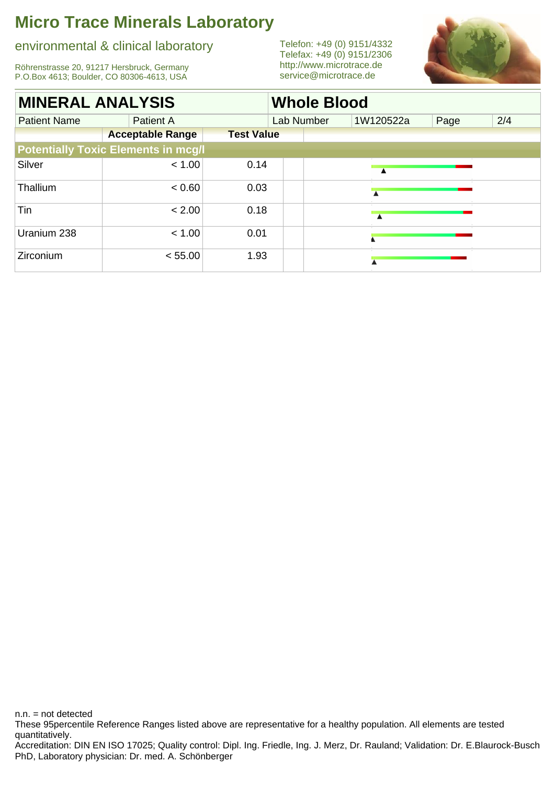### environmental & clinical laboratory

Röhrenstrasse 20, 91217 Hersbruck, Germany P.O.Box 4613; Boulder, CO 80306-4613, USA

Telefon: +49 (0) 9151/4332 Telefax: +49 (0) 9151/2306 <http://www.microtrace.de> service@microtrace.de



| <b>MINERAL ANALYSIS</b> |                                            |                   | <b>Whole Blood</b> |           |      |     |  |  |  |  |
|-------------------------|--------------------------------------------|-------------------|--------------------|-----------|------|-----|--|--|--|--|
| <b>Patient Name</b>     | <b>Patient A</b>                           |                   | Lab Number         | 1W120522a | Page | 2/4 |  |  |  |  |
|                         | <b>Acceptable Range</b>                    | <b>Test Value</b> |                    |           |      |     |  |  |  |  |
|                         | <b>Potentially Toxic Elements in mcg/l</b> |                   |                    |           |      |     |  |  |  |  |
| Silver                  | < 1.00                                     | 0.14              |                    |           |      |     |  |  |  |  |
| Thallium                | < 0.60                                     | 0.03              |                    |           |      |     |  |  |  |  |
| Tin                     | < 2.00                                     | 0.18              |                    |           |      |     |  |  |  |  |
| Uranium 238             | < 1.00                                     | 0.01              |                    |           |      |     |  |  |  |  |
| Zirconium               | < 55.00                                    | 1.93              |                    |           |      |     |  |  |  |  |

PhD, Laboratory physician: Dr. med. A. Schönberger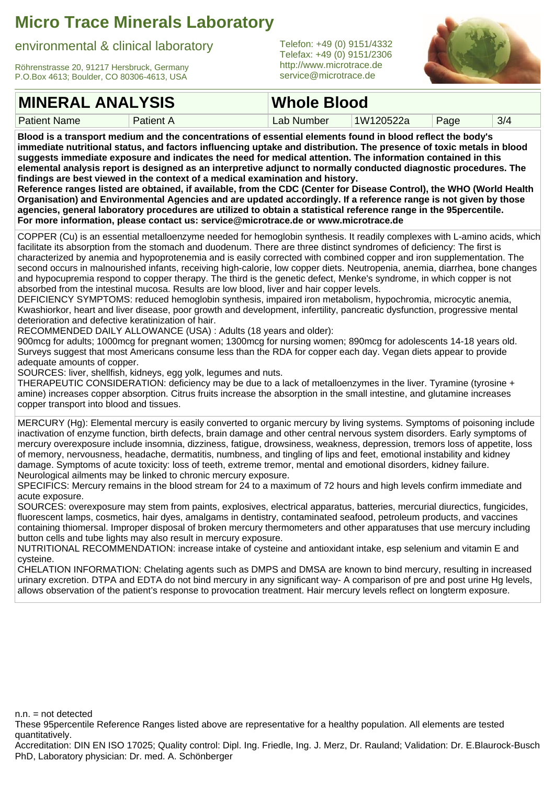#### environmental & clinical laboratory

Röhrenstrasse 20, 91217 Hersbruck, Germany P.O.Box 4613; Boulder, CO 80306-4613, USA

Telefon: +49 (0) 9151/4332 Telefax: +49 (0) 9151/2306 <http://www.microtrace.de> service@microtrace.de



### **MINERAL ANALYSIS**

Patient Name Patient A

**Whole Blood**

Patient A **Lab Number 1W120522a** Page 3/4

**Blood is a transport medium and the concentrations of essential elements found in blood reflect the body's immediate nutritional status, and factors influencing uptake and distribution. The presence of toxic metals in blood suggests immediate exposure and indicates the need for medical attention. The information contained in this elemental analysis report is designed as an interpretive adjunct to normally conducted diagnostic procedures. The findings are best viewed in the context of a medical examination and history.**

**Reference ranges listed are obtained, if available, from the CDC (Center for Disease Control), the WHO (World Health Organisation) and Environmental Agencies and are updated accordingly. If a reference range is not given by those agencies, general laboratory procedures are utilized to obtain a statistical reference range in the 95percentile. For more information, please contact us: service@microtrace.de or www.microtrace.de**

COPPER (Cu) is an essential metalloenzyme needed for hemoglobin synthesis. It readily complexes with L-amino acids, which facilitate its absorption from the stomach and duodenum. There are three distinct syndromes of deficiency: The first is characterized by anemia and hypoprotenemia and is easily corrected with combined copper and iron supplementation. The second occurs in malnourished infants, receiving high-calorie, low copper diets. Neutropenia, anemia, diarrhea, bone changes and hypocupremia respond to copper therapy. The third is the genetic defect, Menke's syndrome, in which copper is not absorbed from the intestinal mucosa. Results are low blood, liver and hair copper levels.

DEFICIENCY SYMPTOMS: reduced hemoglobin synthesis, impaired iron metabolism, hypochromia, microcytic anemia, Kwashiorkor, heart and liver disease, poor growth and development, infertility, pancreatic dysfunction, progressive mental deterioration and defective keratinization of hair.

RECOMMENDED DAILY ALLOWANCE (USA) : Adults (18 years and older):

900mcg for adults; 1000mcg for pregnant women; 1300mcg for nursing women; 890mcg for adolescents 14-18 years old. Surveys suggest that most Americans consume less than the RDA for copper each day. Vegan diets appear to provide adequate amounts of copper.

SOURCES: liver, shellfish, kidneys, egg yolk, legumes and nuts.

THERAPEUTIC CONSIDERATION: deficiency may be due to a lack of metalloenzymes in the liver. Tyramine (tyrosine + amine) increases copper absorption. Citrus fruits increase the absorption in the small intestine, and glutamine increases copper transport into blood and tissues.

MERCURY (Hg): Elemental mercury is easily converted to organic mercury by living systems. Symptoms of poisoning include inactivation of enzyme function, birth defects, brain damage and other central nervous system disorders. Early symptoms of mercury overexposure include insomnia, dizziness, fatigue, drowsiness, weakness, depression, tremors loss of appetite, loss of memory, nervousness, headache, dermatitis, numbness, and tingling of lips and feet, emotional instability and kidney damage. Symptoms of acute toxicity: loss of teeth, extreme tremor, mental and emotional disorders, kidney failure. Neurological ailments may be linked to chronic mercury exposure.

SPECIFICS: Mercury remains in the blood stream for 24 to a maximum of 72 hours and high levels confirm immediate and acute exposure.

SOURCES: overexposure may stem from paints, explosives, electrical apparatus, batteries, mercurial diurectics, fungicides, fluorescent lamps, cosmetics, hair dyes, amalgams in dentistry, contaminated seafood, petroleum products, and vaccines containing thiomersal. Improper disposal of broken mercury thermometers and other apparatuses that use mercury including button cells and tube lights may also result in mercury exposure.

NUTRITIONAL RECOMMENDATION: increase intake of cysteine and antioxidant intake, esp selenium and vitamin E and cysteine.

CHELATION INFORMATION: Chelating agents such as DMPS and DMSA are known to bind mercury, resulting in increased urinary excretion. DTPA and EDTA do not bind mercury in any significant way- A comparison of pre and post urine Hg levels, allows observation of the patient's response to provocation treatment. Hair mercury levels reflect on longterm exposure.

 $n.n.$  = not detected

These 95percentile Reference Ranges listed above are representative for a healthy population. All elements are tested quantitatively.

Accreditation: DIN EN ISO 17025; Quality control: Dipl. Ing. Friedle, Ing. J. Merz, Dr. Rauland; Validation: Dr. E.Blaurock-Busch PhD, Laboratory physician: Dr. med. A. Schönberger